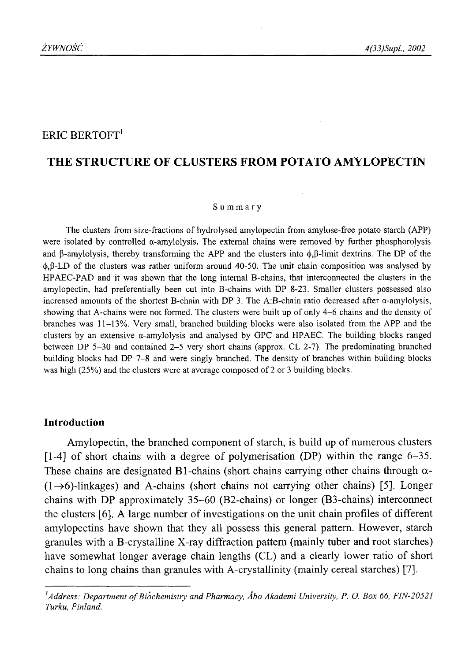# ERIC BERTOFT<sup>1</sup>

# **THE STRUCTURE OF CLUSTERS FROM POTATO AMYLOPECTIN**

#### Summary

The clusters from size-fractions of hydrolysed amylopectin from amylose-free potato starch (APP) were isolated by controlled  $\alpha$ -amylolysis. The external chains were removed by further phosphorolysis and  $\beta$ -amylolysis, thereby transforming the APP and the clusters into  $\phi$ , $\beta$ -limit dextrins. The DP of the  $\phi$ ,  $\beta$ -LD of the clusters was rather uniform around 40-50. The unit chain composition was analysed by HPAEC-PAD and it was shown that the long internal B-chains, that interconnected the clusters in the amylopectin, had preferentially been cut into B-chains with DP 8-23. Smaller clusters possessed also increased amounts of the shortest B-chain with DP 3. The A:B-chain ratio decreased after a-amylolysis, showing that A-chains were not formed. The clusters were built up of only 4-6 chains and the density of branches was 11-13%. Very small, branched building blocks were also isolated from the APP and the clusters by an extensive  $\alpha$ -amylolysis and analysed by GPC and HPAEC. The building blocks ranged between DP 5-30 and contained 2-5 very short chains (approx. CL 2-7). The predominating branched building blocks had DP 7-8 and were singly branched. The density of branches within building blocks was high (25%) and the clusters were at average composed of 2 or 3 building blocks.

### **Introduction**

Amylopectin, the branched component of starch, is build up of numerous clusters [1-4] of short chains with a degree of polymerisation (DP) within the range 6-35. These chains are designated B1-chains (short chains carrying other chains through  $\alpha$ - $(1\rightarrow 6)$ -linkages) and A-chains (short chains not carrying other chains) [5]. Longer chains with DP approximately 35-60 (B2-chains) or longer (B3-chains) interconnect the clusters [6]. A large number of investigations on the unit chain profiles of different amylopectins have shown that they all possess this general pattern. However, starch granules with a B-crystalline X-ray diffraction pattern (mainly tuber and root starches) have somewhat longer average chain lengths (CL) and a clearly lower ratio of short chains to long chains than granules with A-crystallinity (mainly cereal starches) [7].

<sup>&</sup>lt;sup>1</sup> Address: Department of Biochemistry and Pharmacy, Abo Akademi University, P. O. Box 66, FIN-20521 *Turku, Finland.*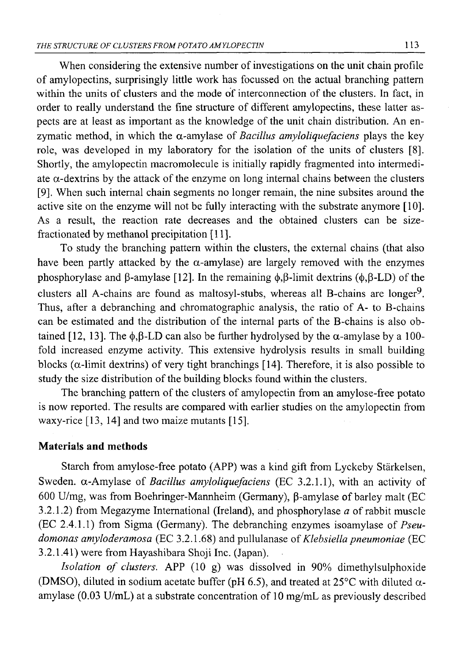When considering the extensive number of investigations on the unit chain profile of amylopectins, surprisingly little work has focussed on the actual branching pattern within the units of clusters and the mode of interconnection of the clusters. In fact, in order to really understand the fine structure of different amylopectins, these latter aspects are at least as important as the knowledge of the unit chain distribution. An enzymatic method, in which the a-amylase of *Bacillus amyloliquefaciens* plays the key role, was developed in my laboratory for the isolation of the units of clusters [8]. Shortly, the amylopectin macromolecule is initially rapidly fragmented into intermediate a-dextrins by the attack of the enzyme on long internal chains between the clusters [9]. When such internal chain segments no longer remain, the nine subsites around the active site on the enzyme will not be fully interacting with the substrate anymore [10]. As a result, the reaction rate decreases and the obtained clusters can be sizefractionated by methanol precipitation [11].

To study the branching pattern within the clusters, the external chains (that also have been partly attacked by the  $\alpha$ -amylase) are largely removed with the enzymes phosphorylase and  $\beta$ -amylase [12]. In the remaining  $\phi$ , $\beta$ -limit dextrins ( $\phi$ , $\beta$ -LD) of the clusters all A-chains are found as maltosyl-stubs, whereas all B-chains are longer<sup>9</sup>. Thus, after a debranching and chromatographic analysis, the ratio of A- to B-chains can be estimated and the distribution of the internal parts of the B-chains is also obtained [12, 13]. The  $\phi$ , $\beta$ -LD can also be further hydrolysed by the  $\alpha$ -amylase by a 100fold increased enzyme activity. This extensive hydrolysis results in small building blocks ( $\alpha$ -limit dextrins) of very tight branchings [14]. Therefore, it is also possible to study the size distribution of the building blocks found within the clusters.

The branching pattern of the clusters of amylopectin from an amylose-free potato is now reported. The results are compared with earlier studies on the amylopectin from waxy-rice [13, 14] and two maize mutants [15].

## **Materials and methods**

Starch from amylose-free potato (APP) was a kind gift from Lyckeby Starkelsen, Sweden.  $\alpha$ -Amylase of *Bacillus amyloliquefaciens* (EC 3.2.1.1), with an activity of 600 U/mg, was from Boehringer-Mannheim (Germany),  $\beta$ -amylase of barley malt (EC 3.2.1.2) from Megazyme International (Ireland), and phosphorylase *a* of rabbit muscle (EC 2.4.1.1) from Sigma (Germany). The debranching enzymes isoamylase of *Pseudomonas amyloderamosa* (EC 3.2.1.68) and pullulanase of *Klebsiella pneumoniae* (EC 3.2.1.41) were from Hayashibara Shoji Inc. (Japan).

*Isolation of clusters.* APP (10 g) was dissolved in 90% dimethylsulphoxide (DMSO), diluted in sodium acetate buffer (pH 6.5), and treated at  $25^{\circ}$ C with diluted  $\alpha$ amylase (0.03 U/mL) at a substrate concentration of 10 mg/mL as previously described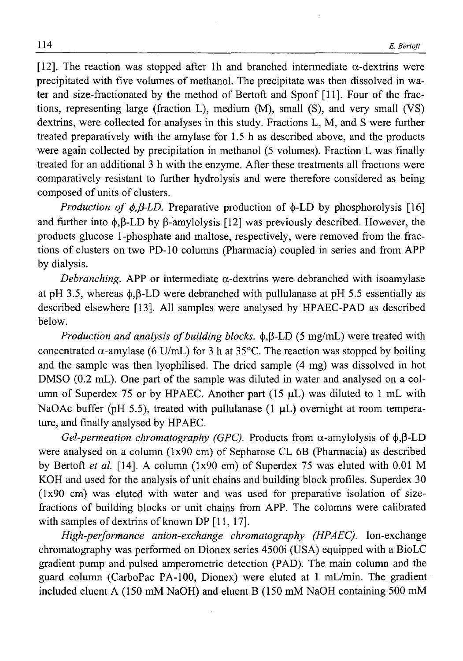[12]. The reaction was stopped after lh and branched intermediate a-dextrins were precipitated with five volumes of methanol. The precipitate was then dissolved in water and size-fractionated by the method of Bertoft and Spoof [11]. Four of the fractions, representing large (fraction L), medium (M), small (S), and very small (VS) dextrins, were collected for analyses in this study. Fractions L, M, and S were further treated preparatively with the amylase for 1.5 h as described above, and the products were again collected by precipitation in methanol (5 volumes). Fraction L was finally treated for an additional 3 h with the enzyme. After these treatments all fractions were comparatively resistant to further hydrolysis and were therefore considered as being composed of units of clusters.

*Production of*  $\phi$ *,*  $\beta$ *-LD.* Preparative production of  $\phi$ -LD by phosphorolysis [16] and further into  $\phi$ , $\beta$ -LD by  $\beta$ -amylolysis [12] was previously described. However, the products glucose 1-phosphate and maltose, respectively, were removed from the fractions of clusters on two PD-10 columns (Pharmacia) coupled in series and from APP by dialysis.

*Debranching.* APP or intermediate  $\alpha$ -dextrins were debranched with isoamylase at pH 3.5, whereas  $\phi$ ,  $\beta$ -LD were debranched with pullulanase at pH 5.5 essentially as described elsewhere [13]. All samples were analysed by HPAEC-PAD as described below.

*Production and analysis of building blocks.*  $\phi$ , $\beta$ -LD (5 mg/mL) were treated with concentrated  $\alpha$ -amylase (6 U/mL) for 3 h at 35 °C. The reaction was stopped by boiling and the sample was then lyophilised. The dried sample (4 mg) was dissolved in hot DMSO (0.2 mL). One part of the sample was diluted in water and analysed on a column of Superdex 75 or by HPAEC. Another part (15  $\mu$ L) was diluted to 1 mL with NaOAc buffer (pH 5.5), treated with pullulanase (1  $\mu$ L) overnight at room temperature, and finally analysed by HPAEC.

*Gel-permeation chromatography (GPC).* Products from  $\alpha$ -amylolysis of  $\phi$ , $\beta$ -LD were analysed on a column (1x90 cm) of Sepharose CL 6B (Pharmacia) as described by Bertoft *et al.* [14]. A column (1x90 cm) of Superdex 75 was eluted with 0.01 M KOH and used for the analysis of unit chains and building block profiles. Superdex 30 (1x90 cm) was eluted with water and was used for preparative isolation of sizefractions of building blocks or unit chains from APP. The columns were calibrated with samples of dextrins of known DP [11, 17].

*High-performance anion-exchange chromatography (HPAEC).* Ion-exchange chromatography was performed on Dionex series 4500i (USA) equipped with a BioLC gradient pump and pulsed amperometric detection (PAD). The main column and the guard column (CarboPac PA -100, Dionex) were eluted at 1 mL/min. The gradient included eluent A (150 mM NaOH) and eluent B (150 mM NaOH containing 500 mM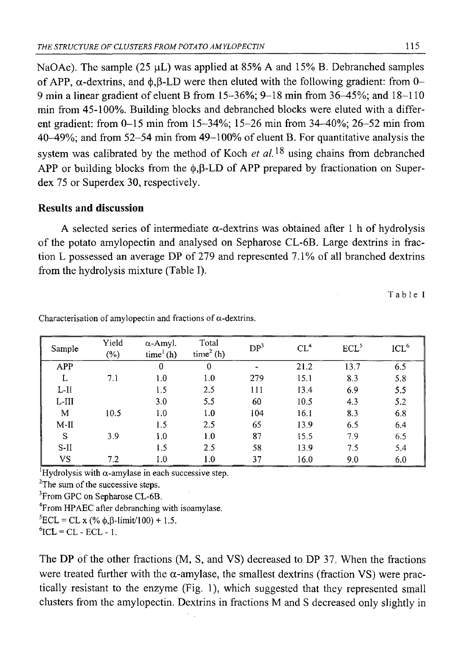NaOAc). The sample (25  $\mu$ L) was applied at 85% A and 15% B. Debranched samples of APP,  $\alpha$ -dextrins, and  $\phi$ ,  $\beta$ -LD were then eluted with the following gradient: from 0-9 min a linear gradient of eluent B from  $15-36\%$ ;  $9-18$  min from  $36-45\%$ ; and  $18-110$ min from 45-100%. Building blocks and debranched blocks were eluted with a different gradient: from 0-15 min from 15—34%; 15-26 min from 34-40%; 26-52 min from 40-49%; and from 52-54 min from 49-100% of eluent B. For quantitative analysis the system was calibrated by the method of Koch *et al.*  $18$  using chains from debranched APP or building blocks from the  $\phi$ ,  $\beta$ -LD of APP prepared by fractionation on Superdex 75 or Superdex 30, respectively.

## **Results and discussion**

A selected series of intermediate  $\alpha$ -dextrins was obtained after 1 h of hydrolysis of the potato amylopectin and analysed on Sepharose CL-6B. Large dextrins in fraction L possessed an average DP of 279 and represented 7.1% of all branched dextrins from the hydrolysis mixture (Table I).

Table I

| Sample  | Yield<br>$(\% )$ | $\alpha$ -Amyl.<br>$time1$ (h) | Total<br>time <sup>2</sup> (h) | DP <sup>3</sup> | CL <sup>4</sup> | ECL <sup>5</sup> | $ICL^6$ |
|---------|------------------|--------------------------------|--------------------------------|-----------------|-----------------|------------------|---------|
| APP     |                  | 0                              | 0                              | $\blacksquare$  | 21.2            | 13.7             | 6.5     |
| L       | 7.1              | 1.0                            | 1.0                            | 279             | 15.1            | 8.3              | 5.8     |
| L-II    |                  | 1.5                            | 2.5                            | 111             | 13.4            | 6.9              | 5.5     |
| $L-III$ |                  | 3.0                            | 5.5                            | 60              | 10.5            | 4.3              | 5.2     |
| M       | 10.5             | 1.0                            | 1.0                            | 104             | 16.1            | 8.3              | 6.8     |
| $M-II$  |                  | 1.5                            | 2.5                            | 65              | 13.9            | 6.5              | 6.4     |
| S       | 3.9              | 1.0                            | 1.0                            | 87              | 15.5            | 79               | 6.5     |
| S-II    |                  | 1.5                            | 2.5                            | 58              | 13.9            | 7.5              | 5.4     |
| VS      | 7.2              | 1.0                            | 1.0                            | 37              | 16.0            | 9.0              | 6.0     |

Characterisation of amylopectin and fractions of  $\alpha$ -dextrins.

 ${}^{1}$ Hydrolysis with  $\alpha$ -amylase in each successive step.

<sup>2</sup>The sum of the successive steps.

<sup>3</sup>From GPC on Sepharose CL-6B.

<sup>4</sup>From HPAEC after debranching with isoamylase.

 ${}^{5}$ ECL = CL x (%  $\phi$ ,  $\beta$ -limit/100) + 1.5.

 ${}^{6}$ ICL = CL - ECL - 1.

The DP of the other fractions (M, S, and VS) decreased to DP 37. When the fractions were treated further with the  $\alpha$ -amylase, the smallest dextrins (fraction VS) were practically resistant to the enzyme (Fig. 1), which suggested that they represented small clusters from the amylopectin. Dextrins in fractions M and S decreased only slightly in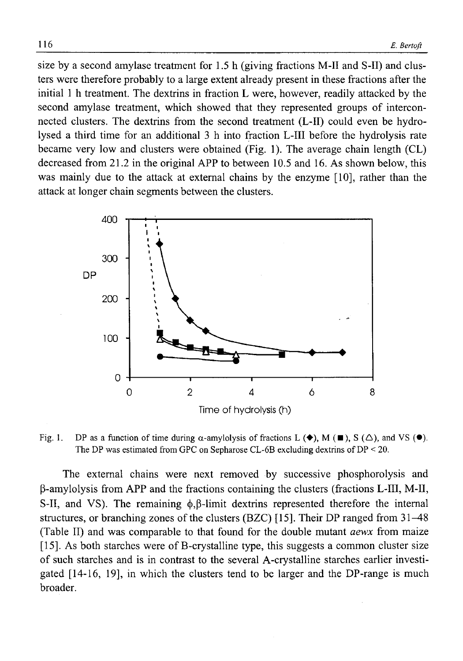size by a second amylase treatment for 1.5 h (giving fractions M-II and S-II) and clusters were therefore probably to a large extent already present in these fractions after the initial 1 h treatment. The dextrins in fraction L were, however, readily attacked by the second amylase treatment, which showed that they represented groups of interconnected clusters. The dextrins from the second treatment (L-II) could even be hydrolysed a third time for an additional 3 h into fraction L-III before the hydrolysis rate became very low and clusters were obtained (Fig. 1). The average chain length (CL) decreased from 21.2 in the original APP to between 10.5 and 16. As shown below, this was mainly due to the attack at external chains by the enzyme [10], rather than the attack at longer chain segments between the clusters.



Fig. 1. DP as a function of time during  $\alpha$ -amylolysis of fractions L ( $\blacklozenge$ ), M ( $\blacksquare$ ), S ( $\triangle$ ), and VS ( $\blacklozenge$ ). The DP was estimated from GPC on Sepharose CL-6B excluding dextrins of DP < 20.

The external chains were next removed by successive phosphorolysis and  $\beta$ -amylolysis from APP and the fractions containing the clusters (fractions L-III, M-II, S-II, and VS). The remaining  $\phi$ , $\beta$ -limit dextrins represented therefore the internal structures, or branching zones of the clusters (BZC) [15]. Their DP ranged from 31-48 (Table II) and was comparable to that found for the double mutant *aewx* from maize [15]. As both starches were of B-crystalline type, this suggests a common cluster size of such starches and is in contrast to the several A-crystalline starches earlier investigated [14-16, 19], in which the clusters tend to be larger and the DP-range is much broader.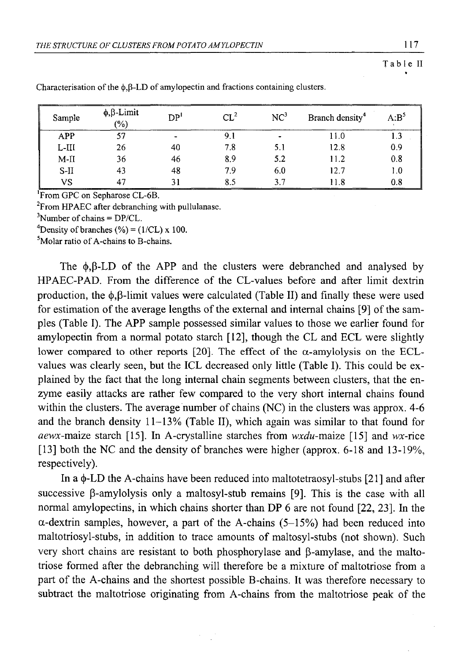| Sample     | $\phi$ , $\beta$ -Limit<br>$(\%)$ | DP <sup>1</sup> | CL <sup>2</sup> | NC <sup>3</sup> | Branch density <sup>4</sup> | $A:B^5$ |
|------------|-----------------------------------|-----------------|-----------------|-----------------|-----------------------------|---------|
| <b>APP</b> | 57                                |                 | 9.1             |                 | 11.0                        | 13      |
| L-III      | 26                                | 40              | 7.8             | 5.1             | 12.8                        | 0.9     |
| $M-II$     | 36                                | 46              | 8.9             | 5.2             | 11.2                        | 0.8     |
| $S-II$     | 43                                | 48              | 7.9             | 6.0             | 12.7                        | 1.0     |
| vs         | 47                                | 31              | 8.5             | 3.7             | 11.8                        | 0.8     |

Characterisation of the  $\phi$ , $\beta$ -LD of amylopectin and fractions containing clusters.

'From GPC on Sepharose CL-6B.

 ${}^{2}$ From HPAEC after debranching with pullulanase.

 $3$ Number of chains = DP/CL.

<sup>4</sup>Density of branches  $(\%)=(1/CL) \times 100$ .

<sup>5</sup>Molar ratio of A-chains to B-chains.

The  $\phi$ , $\beta$ -LD of the APP and the clusters were debranched and analysed by HPAEC-PAD. From the difference of the CL-values before and after limit dextrin production, the  $\phi$ , $\beta$ -limit values were calculated (Table II) and finally these were used for estimation of the average lengths of the external and internal chains [9] of the samples (Table I). The APP sample possessed similar values to those we earlier found for amylopectin from a normal potato starch [12], though the CL and ECL were slightly lower compared to other reports [20]. The effect of the  $\alpha$ -amylolysis on the ECLvalues was clearly seen, but the ICL decreased only little (Table I). This could be explained by the fact that the long internal chain segments between clusters, that the enzyme easily attacks are rather few compared to the very short internal chains found within the clusters. The average number of chains (NC) in the clusters was approx. 4-6 and the branch density 11-13% (Table II), which again was similar to that found for aewx-maize starch [15]. In A-crystalline starches from *wxdu*-maize [15] and wx-rice [13] both the NC and the density of branches were higher (approx. 6-18 and 13-19%, respectively).

In a  $\phi$ -LD the A-chains have been reduced into maltotetraosyl-stubs [21] and after successive  $\beta$ -amylolysis only a maltosyl-stub remains [9]. This is the case with all normal amylopectins, in which chains shorter than DP 6 are not found [22, 23]. In the  $\alpha$ -dextrin samples, however, a part of the A-chains (5-15%) had been reduced into maltotriosyl-stubs, in addition to trace amounts of maltosyl-stubs (not shown). Such very short chains are resistant to both phosphorylase and (3-amylase, and the maltotriose formed after the debranching will therefore be a mixture of maltotriose from a part of the A-chains and the shortest possible B-chains. It was therefore necessary to subtract the maltotriose originating from A-chains from the maltotriose peak of the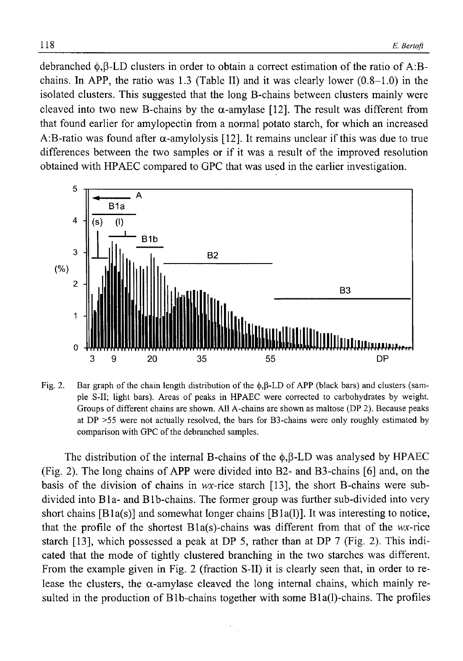debranched  $\phi$ , $\beta$ -LD clusters in order to obtain a correct estimation of the ratio of A:Bchains. In APP, the ratio was  $1.3$  (Table II) and it was clearly lower  $(0.8-1.0)$  in the isolated clusters. This suggested that the long B-chains between clusters mainly were cleaved into two new B-chains by the  $\alpha$ -amylase [12]. The result was different from that found earlier for amylopectin from a normal potato starch, for which an increased A:B-ratio was found after  $\alpha$ -amylolysis [12]. It remains unclear if this was due to true differences between the two samples or if it was a result of the improved resolution obtained with HPAEC compared to GPC that was used in the earlier investigation.



Fig. 2. Bar graph of the chain length distribution of the  $\phi$ , $\beta$ -LD of APP (black bars) and clusters (sample S-II; light bars). Areas of peaks in HPAEC were corrected to carbohydrates by weight. Groups of different chains are shown. All A-chains are shown as maltose (DP 2). Because peaks at DP >55 were not actually resolved, the bars for B3-chains were only roughly estimated by comparison with GPC of the debranched samples.

The distribution of the internal B-chains of the  $\phi$ ,  $\beta$ -LD was analysed by HPAEC (Fig. 2). The long chains of APP were divided into B2- and B3-chains [6] and, on the basis of the division of chains in  $wx$ -rice starch [13], the short B-chains were subdivided into B<sub>1</sub> and B<sub>1</sub>b-chains. The former group was further sub-divided into very short chains  $[B1a(s)]$  and somewhat longer chains  $[B1a(1)]$ . It was interesting to notice, that the profile of the shortest  $B1a(s)$ -chains was different from that of the *wx*-rice starch [13], which possessed a peak at DP 5, rather than at DP 7 (Fig. 2). This indicated that the mode of tightly clustered branching in the two starches was different. From the example given in Fig. 2 (fraction S-II) it is clearly seen that, in order to release the clusters, the  $\alpha$ -amylase cleaved the long internal chains, which mainly resulted in the production of Blb-chains together with some Bla(l)-chains. The profiles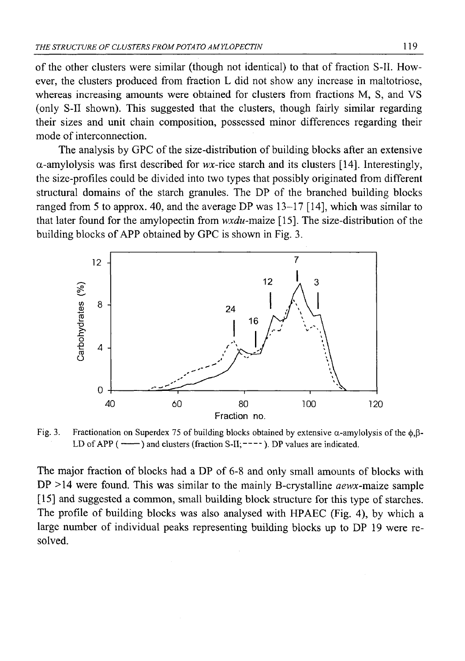of the other clusters were similar (though not identical) to that of fraction S-II. However, the clusters produced from fraction L did not show any increase in maltotriose, whereas increasing amounts were obtained for clusters from fractions M, S, and VS (only S-II shown). This suggested that the clusters, though fairly similar regarding their sizes and unit chain composition, possessed minor differences regarding their mode of interconnection.

The analysis by GPC of the size-distribution of building blocks after an extensive  $\alpha$ -amylolysis was first described for *wx*-rice starch and its clusters [14]. Interestingly, the size-profiles could be divided into two types that possibly originated from different structural domains of the starch granules. The DP of the branched building blocks ranged from 5 to approx. 40, and the average DP was 13-17 [14], which was similar to that later found for the amylopectin from *wxdu*-maize [15]. The size-distribution of the building blocks of APP obtained by GPC is shown in Fig. 3.



Fig. 3. Fractionation on Superdex 75 of building blocks obtained by extensive  $\alpha$ -amylolysis of the  $\phi$ , $\beta$ -LD of APP ( $\leftarrow$ ) and clusters (fraction S-II; $\leftarrow$ --). DP values are indicated.

The major fraction of blocks had a DP of 6-8 and only small amounts of blocks with  $DP >14$  were found. This was similar to the mainly B-crystalline *aewx*-maize sample [15] and suggested a common, small building block structure for this type of starches. The profile of building blocks was also analysed with HPAEC (Fig. 4), by which a large number of individual peaks representing building blocks up to DP 19 were resolved.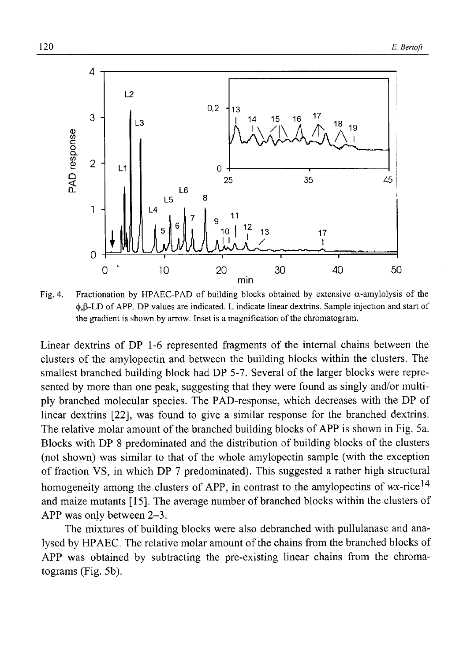

Fig. 4. Fractionation by HPAEC-PAD of building blocks obtained by extensive  $\alpha$ -amylolysis of the  $\phi$ , $\beta$ -LD of APP. DP values are indicated. L indicate linear dextrins. Sample injection and start of the gradient is shown by arrow. Inset is a magnification of the chromatogram.

Linear dextrins of DP 1 -6 represented fragments of the internal chains between the clusters of the amylopectin and between the building blocks within the clusters. The smallest branched building block had DP 5-7. Several of the larger blocks were represented by more than one peak, suggesting that they were found as singly and/or multiply branched molecular species. The PAD-response, which decreases with the DP of linear dextrins [22], was found to give a similar response for the branched dextrins. The relative molar amount of the branched building blocks of APP is shown in Fig. 5a. Blocks with DP 8 predominated and the distribution of building blocks of the clusters (not shown) was similar to that of the whole amylopectin sample (with the exception of fraction VS, in which DP 7 predominated). This suggested a rather high structural homogeneity among the clusters of APP, in contrast to the amylopectins of  $wx$ -rice<sup>14</sup> and maize mutants [15]. The average number of branched blocks within the clusters of APP was only between 2-3.

The mixtures of building blocks were also debranched with pullulanase and analysed by HPAEC. The relative molar amount of the chains from the branched blocks of APP was obtained by subtracting the pre-existing linear chains from the chromatograms (Fig. 5b).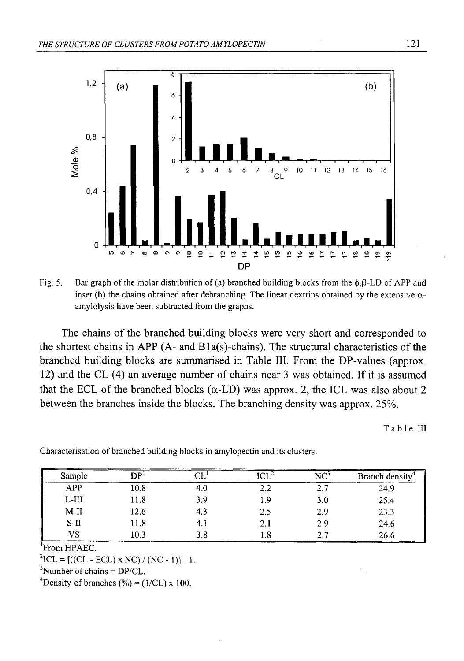

Fig. 5. Bar graph of the molar distribution of (a) branched building blocks from the  $\phi$ , $\beta$ -LD of APP and inset (b) the chains obtained after debranching. The linear dextrins obtained by the extensive  $\alpha$ amylolysis have been subtracted from the graphs.

The chains of the branched building blocks were very short and corresponded to the shortest chains in APP (A- and  $B1a(s)$ -chains). The structural characteristics of the branched building blocks are summarised in Table III. From the DP-values (approx. 12) and the CL (4) an average number of chains near 3 was obtained. If it is assumed that the ECL of the branched blocks  $(\alpha$ -LD) was approx. 2, the ICL was also about 2 between the branches inside the blocks. The branching density was approx. 25%.

Table III

| Sample     | DP.  |      | <b>TOT</b> | $NC^3$ | Branch density |
|------------|------|------|------------|--------|----------------|
| <b>APP</b> | 10.8 | 4.U  | 2.2        |        | 24.9           |
| $L-III$    | 11.8 | 3.9  | و.         | 3.0    | 25.4           |
| $M-II$     | 12.6 | 4.3  | 2.5        | 2.9    | 23.3           |
| $S-II$     | 11.8 | 4. I | 2.1        | 2.9    | 24.6           |
| VS         | 10.3 | 3.8  | 1.8        |        | 26.6           |

Characterisation of branched building blocks in amylopectin and its clusters.

'From HPAEC.

 ${}^{2}ICL = [(CL - ECL) \times NC) / (NC - 1)] - 1.$ 

 $3$ Number of chains = DP/CL.

<sup>4</sup>Density of branches  $\left(\frac{9}{6}\right) = \left(\frac{1}{CL}\right) \times 100$ .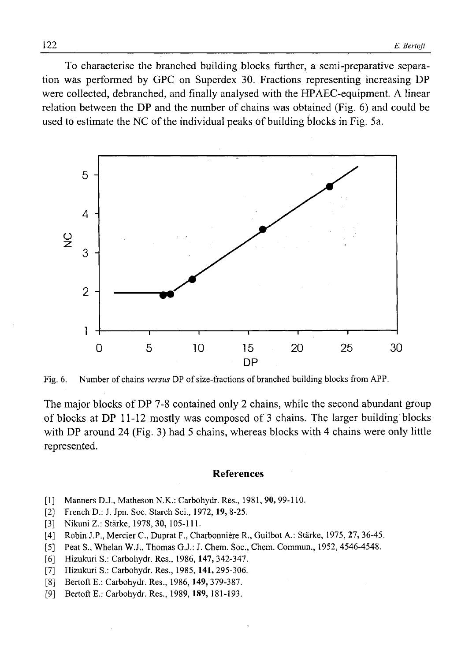To characterise the branched building blocks further, a semi-preparative separation was performed by GPC on Superdex 30. Fractions representing increasing DP were collected, debranched, and finally analysed with the HPAEC-equipment. A linear relation between the DP and the number of chains was obtained (Fig. 6) and could be used to estimate the NC of the individual peaks of building blocks in Fig. 5a.



Fig. 6. Number of chains *versus* DP of size-fractions of branched building blocks from APP.

The major blocks of DP 7-8 contained only 2 chains, while the second abundant group of blocks at DP 11-12 mostly was composed of 3 chains. The larger building blocks with DP around 24 (Fig. 3) had 5 chains, whereas blocks with 4 chains were only little represented.

### **References**

- Manners D.J., Matheson N.K.: Carbohydr. Res., 1981, 90, 99-110.  $\lceil 1 \rceil$
- French D.: J. Jpn. Soc. Starch Sci., 1972,19, 8-25.  $[2]$
- $\lceil 3 \rceil$ Nikuni Z.: Starke, 1978, 30, 105-111.
- Robin J.P., Mercier C., Duprat F., Charbonnière R., Guilbot A.: Stärke, 1975, 27, 36-45.  $[4]$
- Peat S., Whelan W.J., Thomas G.J.: J. Chem. Soc., Chem. Commun., 1952, 4546-4548.  $[5]$
- $[6]$ Hizukuri S.: Carbohydr. Res., 1986,147, 342-347.
- $[7]$ Hizukuri S.: Carbohydr. Res., 1985,141, 295-306.
- Bertoft E.: Carbohydr. Res., 1986,149, 379-387.  $[8]$
- $[9]$ BertoftE.: Carbohydr. Res., 1989,189, 181-193.